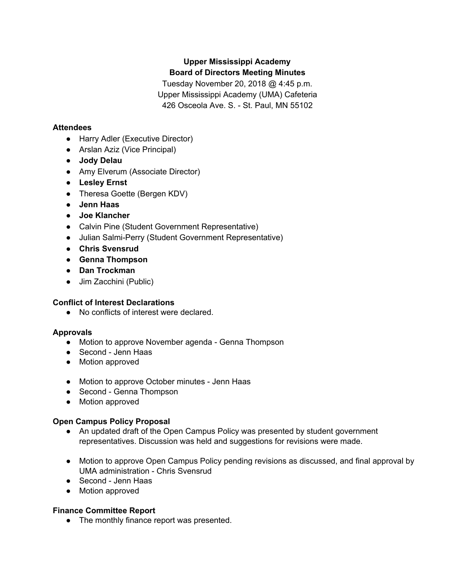# **Upper Mississippi Academy Board of Directors Meeting Minutes**

Tuesday November 20, 2018 @ 4:45 p.m. Upper Mississippi Academy (UMA) Cafeteria 426 Osceola Ave. S. - St. Paul, MN 55102

## **Attendees**

- Harry Adler (Executive Director)
- Arslan Aziz (Vice Principal)
- **Jody Delau**
- Amy Elverum (Associate Director)
- **● Lesley Ernst**
- Theresa Goette (Bergen KDV)
- **● Jenn Haas**
- **● Joe Klancher**
- Calvin Pine (Student Government Representative)
- Julian Salmi-Perry (Student Government Representative)
- **● Chris Svensrud**
- **● Genna Thompson**
- **● Dan Trockman**
- Jim Zacchini (Public)

## **Conflict of Interest Declarations**

● No conflicts of interest were declared.

## **Approvals**

- Motion to approve November agenda Genna Thompson
- Second Jenn Haas
- Motion approved
- Motion to approve October minutes Jenn Haas
- Second Genna Thompson
- Motion approved

## **Open Campus Policy Proposal**

- An updated draft of the Open Campus Policy was presented by student government representatives. Discussion was held and suggestions for revisions were made.
- Motion to approve Open Campus Policy pending revisions as discussed, and final approval by UMA administration - Chris Svensrud
- Second Jenn Haas
- Motion approved

## **Finance Committee Report**

● The monthly finance report was presented.